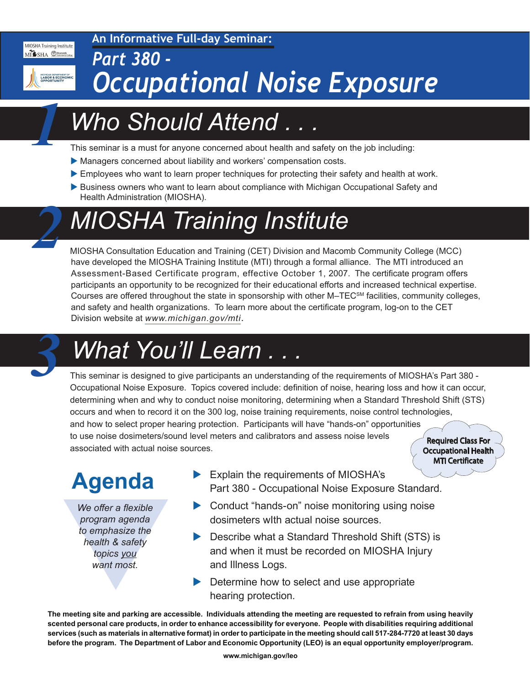#### **An Informative Full-day Seminar:**

MIOSHA Training Institute MISHA Macomb

MICHIGAN DEPARTMENT OF<br>LABOR & ECONOMIC<br>OBBORTI INITY

*1*

*2*

#### *Part 380 - Occupational Noise Exposure*

## *Who Should Attend . . .*

This seminar is a must for anyone concerned about health and safety on the job including:

- Managers concerned about liability and workers' compensation costs.
- Employees who want to learn proper techniques for protecting their safety and health at work.
- Business owners who want to learn about compliance with Michigan Occupational Safety and Health Administration (MIOSHA).

## *MIOSHA Training Institute*

MIOSHA Consultation Education and Training (CET) Division and Macomb Community College (MCC) have developed the MIOSHA Training Institute (MTI) through a formal alliance. The MTI introduced an Assessment-Based Certificate program, effective October 1, 2007. The certificate program offers participants an opportunity to be recognized for their educational efforts and increased technical expertise. Courses are offered throughout the state in sponsorship with other M–TECSM facilities, community colleges, and safety and health organizations. To learn more about the certificate program, log-on to the CET Division website at *www.michigan.gov/mti*.

# *What You'll Learn . .*

This seminar is designed to give participants an understanding of the requirements of MIOSHA's Part 380 - Occupational Noise Exposure. Topics covered include: definition of noise, hearing loss and how it can occur, determining when and why to conduct noise monitoring, determining when a Standard Threshold Shift (STS) occurs and when to record it on the 300 log, noise training requirements, noise control technologies, and how to select proper hearing protection. Participants will have "hands-on" opportunities to use noise dosimeters/sound level meters and calibrators and assess noise levels associated with actual noise sources. Required Class For Required Class For Occupational Health Occupational Health

#### **Agenda**

We offer a flexible<br>program agenda<br>to emphasize the<br>health & safety<br>topics you<br>want most. *We offer a flexible program agenda to emphasize the health & safety topics you want most.*

 $\blacktriangleright$  Explain the requirements of MIOSHA's Part 380 - Occupational Noise Exposure Standard.

MTI Certificate

- $\triangleright$  Conduct "hands-on" noise monitoring using noise dosimeters wIth actual noise sources.
- $\triangleright$  Describe what a Standard Threshold Shift (STS) is and when it must be recorded on MIOSHA Injury and Illness Logs.
- Determine how to select and use appropriate hearing protection.

**The meeting site and parking are accessible. Individuals attending the meeting are requested to refrain from using heavily scented personal care products, in order to enhance accessibility for everyone. People with disabilities requiring additional services (such as materials in alternative format) in order to participate in the meeting should call 517-284-7720 at least 30 days before the program. The Department of Labor and Economic Opportunity (LEO) is an equal opportunity employer/program.**